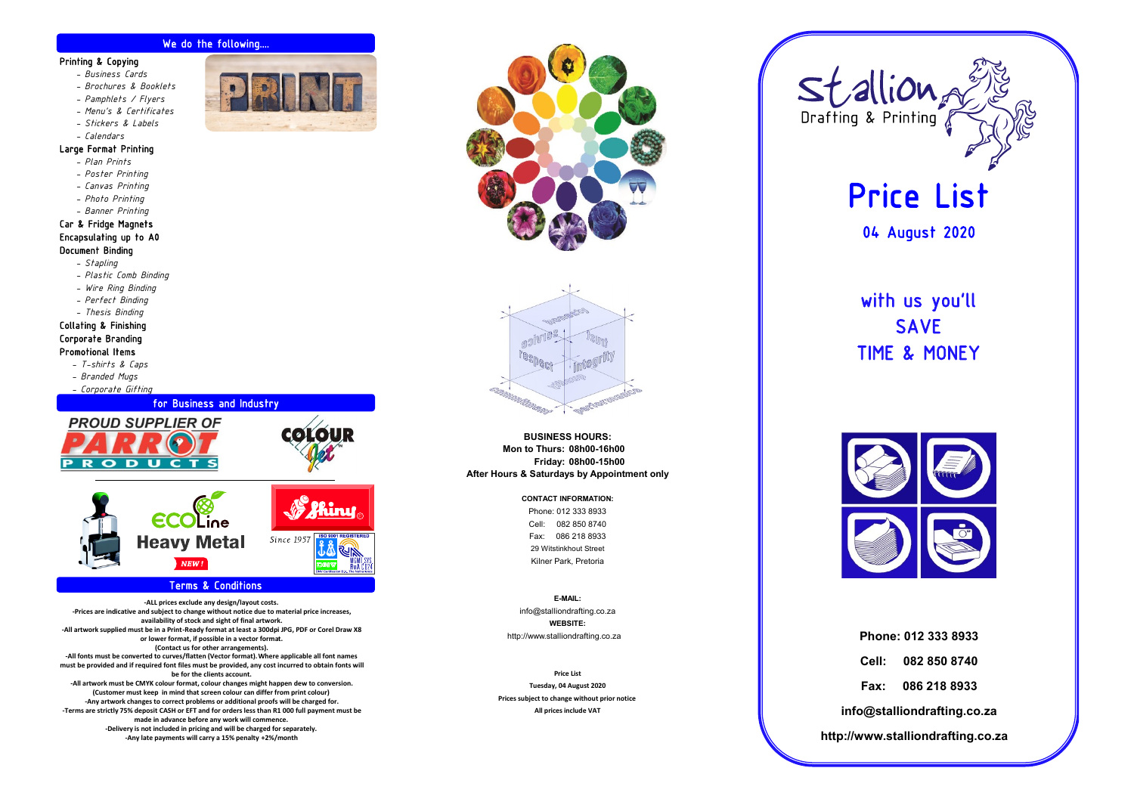#### We do the following....

#### Printing & Copying

- *- Business Cards*
- *- Brochures & Booklets*
- *- Pamphlets / Flyers*
- *- Menu's & Certificates*
- *- Stickers & Labels*
- *- Calendars*

#### Large Format Printing

- *- Plan Prints*
- *- Poster Printing*
- *- Canvas Printing*
- *- Photo Printing*
- *- Banner Printing*

#### Car & Fridge Magnets Encapsulating up to A0 Document Binding

- *- Stapling*
- *- Plastic Comb Binding*
- *- Wire Ring Binding*
- *- Perfect Binding*

#### *- Thesis Binding* Collating & Finishing Corporate Branding Promotional Items

- *- T-shirts & Caps*
- *- Branded Mugs*
- 
- *- Corporate Gifting*





#### Terms & Conditions

**-ALL prices exclude any design/layout costs. -Prices are indicative and subject to change without notice due to material price increases, availability of stock and sight of final artwork. -All artwork supplied must be in a Print-Ready format at least a 300dpi JPG, PDF or Corel Draw X8 or lower format, if possible in a vector format. (Contact us for other arrangements). -All fonts must be converted to curves/flatten (Vector format).Where applicable all font names must be provided and if required font files must be provided, any cost incurred to obtain fonts will be for the clients account. -All artwork must be CMYK colour format, colour changes might happen dew to conversion. (Customer must keep in mind that screen colour can differ from print colour) -Any artwork changes to correct problems or additional proofs will be charged for. -Terms are strictly 75% deposit CASH or EFT and for orders less than R1 000 full payment must be made in advance before any work will commence. -Delivery is not included in pricing and will be charged for separately. -Any late payments will carry a 15% penalty +2%/month**





**BUSINESS HOURS: After Hours & Saturdays by Appointment only Mon to Thurs: 08h00-16h00 Friday: 08h00-15h00**

#### **CONTACT INFORMATION:**

Kilner Park, Pretoria 29 Witstinkhout Street Cell: 082 850 8740 Phone: 012 333 8933 Fax: 086 218 8933

**WEBSITE:** info@stalliondrafting.co.za **E-MAIL:** http://www.stalliondrafting.co.za

**Prices subject to change without prior notice All prices include VAT Price List Tuesday, 04 August 2020**



# Price List

04 August 2020

## with us you'll SAVE TIME & MONEY



**http://www.stalliondrafting.co.za info@stalliondrafting.co.za Fax: 086 218 8933 Cell: 082 850 8740 Phone: 012 333 8933**